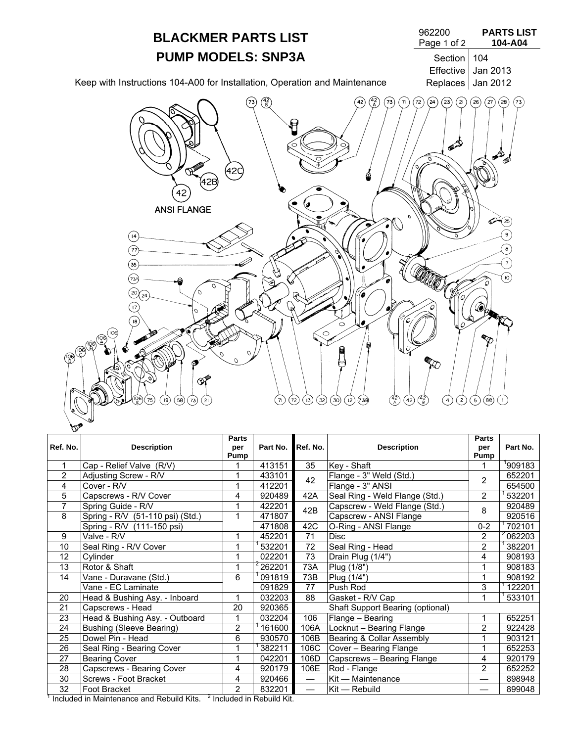

|                                                                                 |                                  | <b>Parts</b>   |                     |                                  |                                | <b>Parts</b>   |             |
|---------------------------------------------------------------------------------|----------------------------------|----------------|---------------------|----------------------------------|--------------------------------|----------------|-------------|
| Ref. No.                                                                        | <b>Description</b>               | per            | Part No.            | Ref. No.                         | <b>Description</b>             | per            | Part No.    |
|                                                                                 |                                  | Pump           |                     |                                  |                                | Pump           |             |
| 1                                                                               | Cap - Relief Valve (R/V)         |                | 413151              | 35                               | Key - Shaft                    |                | 909183      |
| $\overline{2}$                                                                  | Adjusting Screw - R/V            |                | 433101              | 42                               | Flange - 3" Weld (Std.)        | 2              | 652201      |
| 4                                                                               | Cover - R/V                      | 1              | 412201              |                                  | Flange - 3" ANSI               |                | 654500      |
| 5                                                                               | Capscrews - R/V Cover            | 4              | 920489              | 42A                              | Seal Ring - Weld Flange (Std.) | $\overline{2}$ | 532201      |
| 7                                                                               | Spring Guide - R/V               | 1              | 422201              | 42B                              | Capscrew - Weld Flange (Std.)  | 8              | 920489      |
| 8                                                                               | Spring - R/V (51-110 psi) (Std.) | 1              | 471807              |                                  | Capscrew - ANSI Flange         |                | 920516      |
|                                                                                 | Spring - R/V (111-150 psi)       |                | 471808              | 42C                              | O-Ring - ANSI Flange           | $0 - 2$        | 702101      |
| 9                                                                               | Valve - R/V                      |                | 452201              | 71                               | <b>Disc</b>                    | 2              | $^2$ 062203 |
| 10                                                                              | Seal Ring - R/V Cover            | 1              | 532201              | 72                               | Seal Ring - Head               | $\overline{2}$ | 382201      |
| 12                                                                              | Cylinder                         | 1              | 022201              | $\overline{73}$                  | Drain Plug (1/4")              | 4              | 908193      |
| 13                                                                              | Rotor & Shaft                    | 1              | <sup>2</sup> 262201 | 73A                              | Plug (1/8")                    | 1              | 908183      |
| 14                                                                              | Vane - Duravane (Std.)           | 6              | 091819              | 73B                              | Plug (1/4")                    |                | 908192      |
|                                                                                 | Vane - EC Laminate               |                | 091829              | 77                               | Push Rod                       | 3              | 122201      |
| 20                                                                              | Head & Bushing Asy. - Inboard    | 1              | 032203              | 88                               | Gasket - R/V Cap               |                | 533101      |
| 21                                                                              | Capscrews - Head                 | 20             | 920365              | Shaft Support Bearing (optional) |                                |                |             |
| 23                                                                              | Head & Bushing Asy. - Outboard   |                | 032204              | 106                              | Flange - Bearing               |                | 652251      |
| 24                                                                              | <b>Bushing (Sleeve Bearing)</b>  | $\overline{2}$ | 161600              | 106A                             | Locknut - Bearing Flange       | 2              | 922428      |
| 25                                                                              | Dowel Pin - Head                 | 6              | 930570              | 106B                             | Bearing & Collar Assembly      |                | 903121      |
| 26                                                                              | Seal Ring - Bearing Cover        | 1              | 382211              | 106C                             | Cover - Bearing Flange         |                | 652253      |
| 27                                                                              | <b>Bearing Cover</b>             | 1              | 042201              | 106D                             | Capscrews - Bearing Flange     | 4              | 920179      |
| 28                                                                              | Capscrews - Bearing Cover        | 4              | 920179              | 106E                             | Rod - Flange                   | $\overline{2}$ | 652252      |
| 30                                                                              | Screws - Foot Bracket            | 4              | 920466              | $\qquad \qquad$                  | Kit - Maintenance              | —              | 898948      |
| 32                                                                              | Foot Bracket                     | $\overline{2}$ | 832201              | $\overline{\phantom{0}}$         | Kit - Rebuild                  |                | 899048      |
| Included in Maintenance and Rebuild Kits. <sup>2</sup> Included in Rebuild Kit. |                                  |                |                     |                                  |                                |                |             |